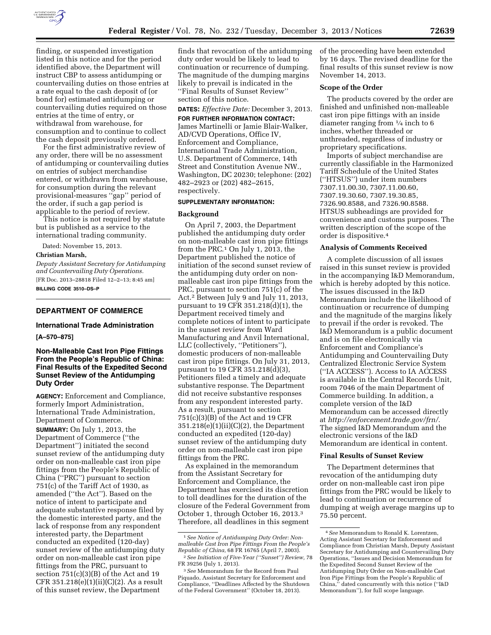

finding, or suspended investigation listed in this notice and for the period identified above, the Department will instruct CBP to assess antidumping or countervailing duties on those entries at a rate equal to the cash deposit of (or bond for) estimated antidumping or countervailing duties required on those entries at the time of entry, or withdrawal from warehouse, for consumption and to continue to collect the cash deposit previously ordered.

For the first administrative review of any order, there will be no assessment of antidumping or countervailing duties on entries of subject merchandise entered, or withdrawn from warehouse, for consumption during the relevant provisional-measures ''gap'' period of the order, if such a gap period is applicable to the period of review.

This notice is not required by statute but is published as a service to the international trading community.

Dated: November 15, 2013.

# **Christian Marsh,**

*Deputy Assistant Secretary for Antidumping and Countervailing Duty Operations.*  [FR Doc. 2013–28818 Filed 12–2–13; 8:45 am] **BILLING CODE 3510–DS–P** 

### **DEPARTMENT OF COMMERCE**

#### **International Trade Administration**

#### **[A–570–875]**

# **Non-Malleable Cast Iron Pipe Fittings From the People's Republic of China: Final Results of the Expedited Second Sunset Review of the Antidumping Duty Order**

**AGENCY:** Enforcement and Compliance, formerly Import Administration, International Trade Administration, Department of Commerce.

**SUMMARY:** On July 1, 2013, the Department of Commerce (''the Department'') initiated the second sunset review of the antidumping duty order on non-malleable cast iron pipe fittings from the People's Republic of China (''PRC'') pursuant to section 751(c) of the Tariff Act of 1930, as amended (''the Act''). Based on the notice of intent to participate and adequate substantive response filed by the domestic interested party, and the lack of response from any respondent interested party, the Department conducted an expedited (120-day) sunset review of the antidumping duty order on non-malleable cast iron pipe fittings from the PRC, pursuant to section  $751(c)(3)(B)$  of the Act and 19  $CFR 351.218(e)(1)(ii)(C)(2)$ . As a result of this sunset review, the Department

finds that revocation of the antidumping duty order would be likely to lead to continuation or recurrence of dumping. The magnitude of the dumping margins likely to prevail is indicated in the ''Final Results of Sunset Review'' section of this notice.

# **DATES:** *Effective Date:* December 3, 2013.

**FOR FURTHER INFORMATION CONTACT:**  James Martinelli or Jamie Blair-Walker, AD/CVD Operations, Office IV, Enforcement and Compliance, International Trade Administration, U.S. Department of Commerce, 14th Street and Constitution Avenue NW., Washington, DC 20230; telephone: (202) 482–2923 or (202) 482–2615, respectively.

# **SUPPLEMENTARY INFORMATION:**

#### **Background**

On April 7, 2003, the Department published the antidumping duty order on non-malleable cast iron pipe fittings from the PRC.1 On July 1, 2013, the Department published the notice of initiation of the second sunset review of the antidumping duty order on nonmalleable cast iron pipe fittings from the PRC, pursuant to section 751(c) of the Act.2 Between July 9 and July 11, 2013, pursuant to 19 CFR 351.218(d)(1), the Department received timely and complete notices of intent to participate in the sunset review from Ward Manufacturing and Anvil International, LLC (collectively, ''Petitioners''), domestic producers of non-malleable cast iron pipe fittings. On July 31, 2013, pursuant to 19 CFR 351.218(d)(3), Petitioners filed a timely and adequate substantive response. The Department did not receive substantive responses from any respondent interested party. As a result, pursuant to section 751(c)(3)(B) of the Act and 19 CFR 351.218(e)(1)(ii)(C)(2), the Department conducted an expedited (120-day) sunset review of the antidumping duty order on non-malleable cast iron pipe fittings from the PRC.

As explained in the memorandum from the Assistant Secretary for Enforcement and Compliance, the Department has exercised its discretion to toll deadlines for the duration of the closure of the Federal Government from October 1, through October 16, 2013.3 Therefore, all deadlines in this segment

of the proceeding have been extended by 16 days. The revised deadline for the final results of this sunset review is now November 14, 2013.

### **Scope of the Order**

The products covered by the order are finished and unfinished non-malleable cast iron pipe fittings with an inside diameter ranging from 1⁄4 inch to 6 inches, whether threaded or unthreaded, regardless of industry or proprietary specifications.

Imports of subject merchandise are currently classifiable in the Harmonized Tariff Schedule of the United States (''HTSUS'') under item numbers 7307.11.00.30, 7307.11.00.60, 7307.19.30.60, 7307.19.30.85, 7326.90.8588, and 7326.90.8588. HTSUS subheadings are provided for convenience and customs purposes. The written description of the scope of the order is dispositive.4

#### **Analysis of Comments Received**

A complete discussion of all issues raised in this sunset review is provided in the accompanying I&D Memorandum, which is hereby adopted by this notice. The issues discussed in the I&D Memorandum include the likelihood of continuation or recurrence of dumping and the magnitude of the margins likely to prevail if the order is revoked. The I&D Memorandum is a public document and is on file electronically via Enforcement and Compliance's Antidumping and Countervailing Duty Centralized Electronic Service System (''IA ACCESS''). Access to IA ACCESS is available in the Central Records Unit, room 7046 of the main Department of Commerce building. In addition, a complete version of the I&D Memorandum can be accessed directly at *[http://enforcement.trade.gov/frn/.](http://enforcement.trade.gov/frn/)*  The signed I&D Memorandum and the electronic versions of the I&D Memorandum are identical in content.

#### **Final Results of Sunset Review**

The Department determines that revocation of the antidumping duty order on non-malleable cast iron pipe fittings from the PRC would be likely to lead to continuation or recurrence of dumping at weigh average margins up to 75.50 percent.

<sup>1</sup>*See Notice of Antidumping Duty Order: Nonmalleable Cast Iron Pipe Fittings From the People's Republic of China,* 68 FR 16765 (April 7, 2003). 2*See Initiation of Five-Year (''Sunset'') Review,* 78

FR 39256 (July 1, 2013).

<sup>3</sup>*See* Memorandum for the Record from Paul Piquado, Assistant Secretary for Enforcement and Compliance, ''Deadlines Affected by the Shutdown of the Federal Government'' (October 18, 2013).

<sup>4</sup>*See* Memorandum to Ronald K. Lorentzen, Acting Assistant Secretary for Enforcement and Compliance from Christian Marsh, Deputy Assistant Secretary for Antidumping and Countervailing Duty Operations, ''Issues and Decision Memorandum for the Expedited Second Sunset Review of the Antidumping Duty Order on Non-malleable Cast Iron Pipe Fittings from the People's Republic of China,'' dated concurrently with this notice (''I&D Memorandum''), for full scope language.